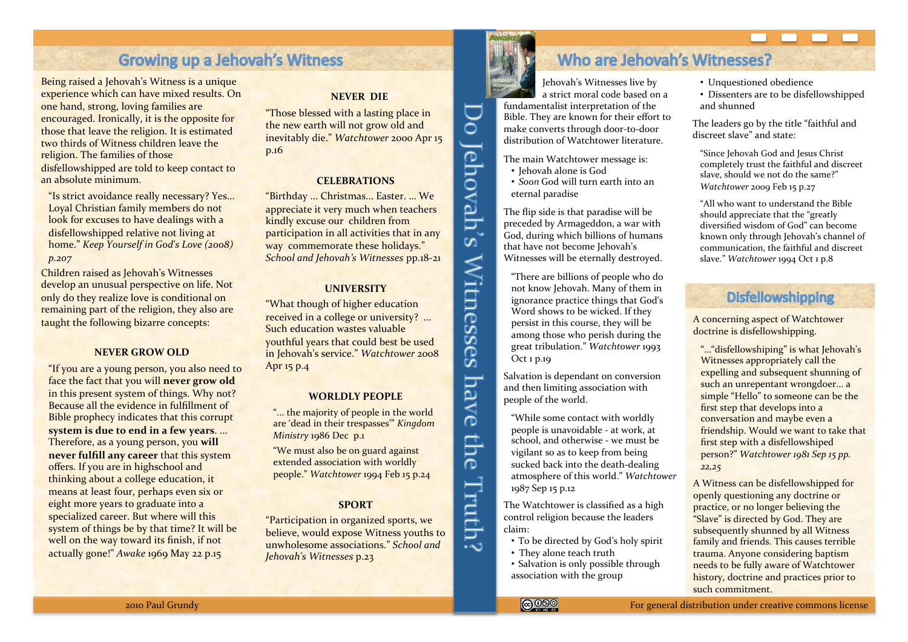# **Growing up a Jehovah's Witness**

Being raised a Jehovah's Witness is a unique experience which can have mixed results. On one hand, strong, loving families are encouraged. Ironically, it is the opposite for those that leave the religion. It is estimated two thirds of Witness children leave the religion. The families of those disfellowshipped are told to keep contact to an absolute minimum.

"Is strict avoidance really necessary? Yes... Loyal Christian family members do not look for excuses to have dealings with a disfellowshipped relative not living at home." *Keep Yourself in God's Love (2008) p.207\**

Children raised as Jehovah's Witnesses develop an unusual perspective on life. Not only do they realize love is conditional on remaining part of the religion, they also are taught the following bizarre concepts:

#### **NEVER GROW OLD**

"If you are a young person, you also need to face the fact that you will **never grow old** in this present system of things. Why not? Because all the evidence in fulfillment of Bible prophecy indicates that this corrupt **system is due to end in a few years....** Therefore, as a young person, you will **never fulfill any career** that this system offers. If you are in highschool and thinking about a college education, it means at least four, perhaps even six or eight more years to graduate into a specialized career. But where will this system of things be by that time? It will be well on the way toward its finish, if not actually gone!" Awake 1969 May 22 p.15

#### **NEVER DIE**

"Those blessed with a lasting place in the new earth will not grow old and inevitably die." Watchtower 2000 Apr 15 p.16

### **CELEBRATIONS%**

"Birthday ... Christmas... Easter. ... We appreciate it very much when teachers kindly excuse our children from participation in all activities that in any way commemorate these holidays." *School and Jehovah's Witnesses pp.18-21* 

### **UNIVERSITY**

"What though of higher education received in a college or university? ... Such education wastes valuable youthful years that could best be used in Jehovah's service." Watchtower 2008 Apr 15 p.4

#### **WORLDLY%PEOPLE%**

"... the majority of people in the world are 'dead in their trespasses'" *Kingdom Ministry* 1986 Dec p.1

"We must also be on guard against extended association with worldly people." Watchtower 1994 Feb 15 p.24

### **SPORT%**

"Participation in organized sports, we believe, would expose Witness youths to unwholesome associations." *School and Jehovah's\*Witnesses\**p.23



 $\overline{\overline{\overline{C}}}$ 

Jehovah's Witnesses

have

i the

Truth

الہ ہ

# Who are Jehovah's Witnesses?

Jehovah's Witnesses live by a strict moral code based on a fundamentalist interpretation of the Bible. They are known for their effort to make converts through door-to-door distribution of Watchtower literature

The main Watchtower message is:

 $\cdot$  Jehovah alone is God • *Soon* God will turn earth into an eternal paradise

The flip side is that paradise will be preceded by Armageddon, a war with .<br>God, during which billions of humans that have not become Jehovah's Witnesses will be eternally destroyed.

"There are billions of people who do" not know Jehovah. Many of them in ignorance practice things that God's Word shows to be wicked. If they persist in this course, they will be among those who perish during the great tribulation." Watchtower 1993 Oct 1 p.19

Salvation is dependant on conversion and then limiting association with people of the world.

"While some contact with worldly people is unavoidable - at work, at school, and otherwise - we must be vigilant so as to keep from being sucked back into the death-dealing atmosphere of this world." Watchtower 1987 Sep 15 p.12

The Watchtower is classified as a high control religion because the leaders claim:

- To be directed by God's holy spirit
- They alone teach truth

• Salvation is only possible through association with the group

- Unquestioned obedience
- Dissenters are to be disfellowshipped and shunned

The leaders go by the title "faithful and" discreet slave" and state:

"Since Jehovah God and Jesus Christ completely trust the faithful and discreet slave, should we not do the same?" *Watchtower* 2009 Feb 15 p.27

"All who want to understand the Bible should appreciate that the "greatly" diversified wisdom of God" can become known only through Jehovah's channel of communication, the faithful and discreet slave." Watchtower 1994 Oct 1 p.8

# **Disfellowshipping**

A concerning aspect of Watchtower doctrine is disfellowshipping.

"..."disfellowshiping" is what Jehovah's Witnesses appropriately call the expelling and subsequent shunning of such an unrepentant wrongdoer... a simple "Hello" to someone can be the first step that develops into a conversation and maybe even a friendship. Would we want to take that first step with a disfellowshiped person?" Watchtower 1981 Sep 15 pp. *22,25*

A Witness can be disfellowshipped for openly questioning any doctrine or practice, or no longer believing the "Slave" is directed by God. They are subsequently shunned by all Witness family and friends. This causes terrible trauma. Anyone considering baptism needs to be fully aware of Watchtower history, doctrine and practices prior to such commitment.